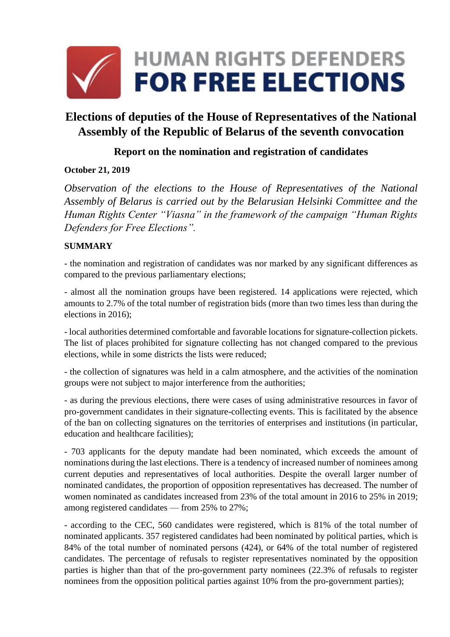

# **Elections of deputies of the House of Representatives of the National Assembly of the Republic of Belarus of the seventh convocation**

## **Report on the nomination and registration of candidates**

## **October 21, 2019**

*Observation of the elections to the House of Representatives of the National Assembly of Belarus is carried out by the Belarusian Helsinki Committee and the Human Rights Center "Viasna" in the framework of the campaign "Human Rights Defenders for Free Elections".*

## **SUMMARY**

- the nomination and registration of candidates was nor marked by any significant differences as compared to the previous parliamentary elections;

- almost all the nomination groups have been registered. 14 applications were rejected, which amounts to 2.7% of the total number of registration bids (more than two times less than during the elections in 2016);

- local authorities determined comfortable and favorable locations for signature-collection pickets. The list of places prohibited for signature collecting has not changed compared to the previous elections, while in some districts the lists were reduced;

- the collection of signatures was held in a calm atmosphere, and the activities of the nomination groups were not subject to major interference from the authorities;

- as during the previous elections, there were cases of using administrative resources in favor of pro-government candidates in their signature-collecting events. This is facilitated by the absence of the ban on collecting signatures on the territories of enterprises and institutions (in particular, education and healthcare facilities);

- 703 applicants for the deputy mandate had been nominated, which exceeds the amount of nominations during the last elections. There is a tendency of increased number of nominees among current deputies and representatives of local authorities. Despite the overall larger number of nominated candidates, the proportion of opposition representatives has decreased. The number of women nominated as candidates increased from 23% of the total amount in 2016 to 25% in 2019; among registered candidates — from 25% to 27%;

- according to the CEC, 560 candidates were registered, which is 81% of the total number of nominated applicants. 357 registered candidates had been nominated by political parties, which is 84% of the total number of nominated persons (424), or 64% of the total number of registered candidates. The percentage of refusals to register representatives nominated by the opposition parties is higher than that of the pro-government party nominees (22.3% of refusals to register nominees from the opposition political parties against 10% from the pro-government parties);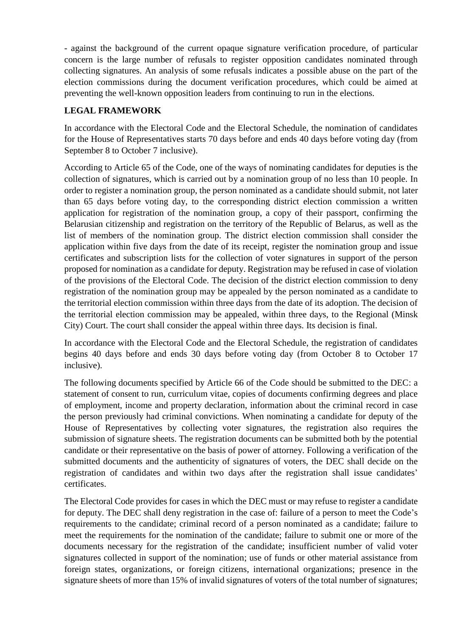- against the background of the current opaque signature verification procedure, of particular concern is the large number of refusals to register opposition candidates nominated through collecting signatures. An analysis of some refusals indicates a possible abuse on the part of the election commissions during the document verification procedures, which could be aimed at preventing the well-known opposition leaders from continuing to run in the elections.

## **LEGAL FRAMEWORK**

In accordance with the Electoral Code and the Electoral Schedule, the nomination of candidates for the House of Representatives starts 70 days before and ends 40 days before voting day (from September 8 to October 7 inclusive).

According to Article 65 of the Code, one of the ways of nominating candidates for deputies is the collection of signatures, which is carried out by a nomination group of no less than 10 people. In order to register a nomination group, the person nominated as a candidate should submit, not later than 65 days before voting day, to the corresponding district election commission a written application for registration of the nomination group, a copy of their passport, confirming the Belarusian citizenship and registration on the territory of the Republic of Belarus, as well as the list of members of the nomination group. The district election commission shall consider the application within five days from the date of its receipt, register the nomination group and issue certificates and subscription lists for the collection of voter signatures in support of the person proposed for nomination as a candidate for deputy. Registration may be refused in case of violation of the provisions of the Electoral Code. The decision of the district election commission to deny registration of the nomination group may be appealed by the person nominated as a candidate to the territorial election commission within three days from the date of its adoption. The decision of the territorial election commission may be appealed, within three days, to the Regional (Minsk City) Court. The court shall consider the appeal within three days. Its decision is final.

In accordance with the Electoral Code and the Electoral Schedule, the registration of candidates begins 40 days before and ends 30 days before voting day (from October 8 to October 17 inclusive).

The following documents specified by Article 66 of the Code should be submitted to the DEC: a statement of consent to run, curriculum vitae, copies of documents confirming degrees and place of employment, income and property declaration, information about the criminal record in case the person previously had criminal convictions. When nominating a candidate for deputy of the House of Representatives by collecting voter signatures, the registration also requires the submission of signature sheets. The registration documents can be submitted both by the potential candidate or their representative on the basis of power of attorney. Following a verification of the submitted documents and the authenticity of signatures of voters, the DEC shall decide on the registration of candidates and within two days after the registration shall issue candidates' certificates.

The Electoral Code provides for cases in which the DEC must or may refuse to register a candidate for deputy. The DEC shall deny registration in the case of: failure of a person to meet the Code's requirements to the candidate; criminal record of a person nominated as a candidate; failure to meet the requirements for the nomination of the candidate; failure to submit one or more of the documents necessary for the registration of the candidate; insufficient number of valid voter signatures collected in support of the nomination; use of funds or other material assistance from foreign states, organizations, or foreign citizens, international organizations; presence in the signature sheets of more than 15% of invalid signatures of voters of the total number of signatures;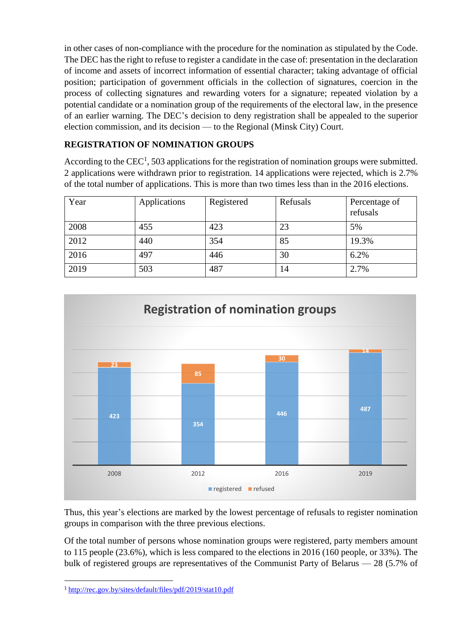in other cases of non-compliance with the procedure for the nomination as stipulated by the Code. The DEC has the right to refuse to register a candidate in the case of: presentation in the declaration of income and assets of incorrect information of essential character; taking advantage of official position; participation of government officials in the collection of signatures, coercion in the process of collecting signatures and rewarding voters for a signature; repeated violation by a potential candidate or a nomination group of the requirements of the electoral law, in the presence of an earlier warning. The DEC's decision to deny registration shall be appealed to the superior election commission, and its decision — to the Regional (Minsk City) Court.

## **REGISTRATION OF NOMINATION GROUPS**

According to the CEC<sup>1</sup>, 503 applications for the registration of nomination groups were submitted. 2 applications were withdrawn prior to registration. 14 applications were rejected, which is 2.7% of the total number of applications. This is more than two times less than in the 2016 elections.

| Year | Applications | Registered | Refusals | Percentage of<br>refusals |
|------|--------------|------------|----------|---------------------------|
| 2008 | 455          | 423        | 23       | 5%                        |
| 2012 | 440          | 354        | 85       | 19.3%                     |
| 2016 | 497          | 446        | 30       | 6.2%                      |
| 2019 | 503          | 487        | 14       | 2.7%                      |



Thus, this year's elections are marked by the lowest percentage of refusals to register nomination groups in comparison with the three previous elections.

Of the total number of persons whose nomination groups were registered, party members amount to 115 people (23.6%), which is less compared to the elections in 2016 (160 people, or 33%). The bulk of registered groups are representatives of the Communist Party of Belarus — 28 (5.7% of

**.** 

<sup>1</sup> <http://rec.gov.by/sites/default/files/pdf/2019/stat10.pdf>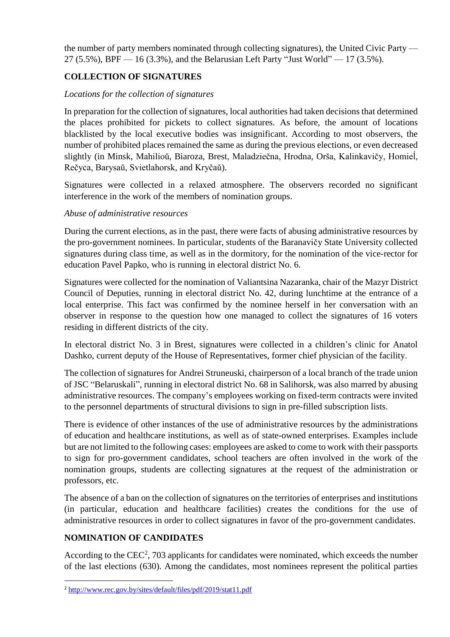the number of party members nominated through collecting signatures), the United Civic Party — 27 (5.5%), BPF  $-16$  (3.3%), and the Belarusian Left Party "Just World"  $-17$  (3.5%).

## **COLLECTION OF SIGNATURES**

#### *Locations for the collection of signatures*

In preparation for the collection of signatures, local authorities had taken decisions that determined the places prohibited for pickets to collect signatures. As before, the amount of locations blacklisted by the local executive bodies was insignificant. According to most observers, the number of prohibited places remained the same as during the previous elections, or even decreased slightly (in Minsk, Mahilioŭ, Biaroza, Brest, Maladziečna, Hrodna, Orša, Kalinkavičy, Homieĺ, Rečyca, Barysaŭ, Svietlahorsk, and Kryčaŭ).

Signatures were collected in a relaxed atmosphere. The observers recorded no significant interference in the work of the members of nomination groups.

#### *Abuse of administrative resources*

During the current elections, as in the past, there were facts of abusing administrative resources by the pro-government nominees. In particular, students of the Baranavičy State University collected signatures during class time, as well as in the dormitory, for the nomination of the vice-rector for education Pavel Papko, who is running in electoral district No. 6.

Signatures were collected for the nomination of Valiantsina Nazaranka, chair of the Mazyr District Council of Deputies, running in electoral district No. 42, during lunchtime at the entrance of a local enterprise. This fact was confirmed by the nominee herself in her conversation with an observer in response to the question how one managed to collect the signatures of 16 voters residing in different districts of the city.

In electoral district No. 3 in Brest, signatures were collected in a children's clinic for Anatol Dashko, current deputy of the House of Representatives, former chief physician of the facility.

The collection of signatures for Andrei Struneuski, chairperson of a local branch of the trade union of JSC "Belaruskali", running in electoral district No. 68 in Salihorsk, was also marred by abusing administrative resources. The company's employees working on fixed-term contracts were invited to the personnel departments of structural divisions to sign in pre-filled subscription lists.

There is evidence of other instances of the use of administrative resources by the administrations of education and healthcare institutions, as well as of state-owned enterprises. Examples include but are not limited to the following cases: employees are asked to come to work with their passports to sign for pro-government candidates, school teachers are often involved in the work of the nomination groups, students are collecting signatures at the request of the administration or professors, etc.

The absence of a ban on the collection of signatures on the territories of enterprises and institutions (in particular, education and healthcare facilities) creates the conditions for the use of administrative resources in order to collect signatures in favor of the pro-government candidates.

## **NOMINATION OF CANDIDATES**

**.** 

According to the CEC<sup>2</sup>, 703 applicants for candidates were nominated, which exceeds the number of the last elections (630). Among the candidates, most nominees represent the political parties

<sup>2</sup> <http://www.rec.gov.by/sites/default/files/pdf/2019/stat11.pdf>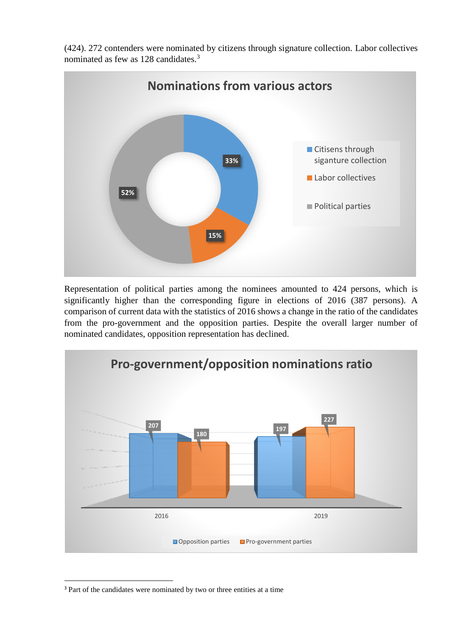(424). 272 contenders were nominated by citizens through signature collection. Labor collectives nominated as few as 128 candidates.<sup>3</sup>



Representation of political parties among the nominees amounted to 424 persons, which is significantly higher than the corresponding figure in elections of 2016 (387 persons). A comparison of current data with the statistics of 2016 shows a change in the ratio of the candidates from the pro-government and the opposition parties. Despite the overall larger number of nominated candidates, opposition representation has declined.



<sup>&</sup>lt;sup>3</sup> Part of the candidates were nominated by two or three entities at a time

**.**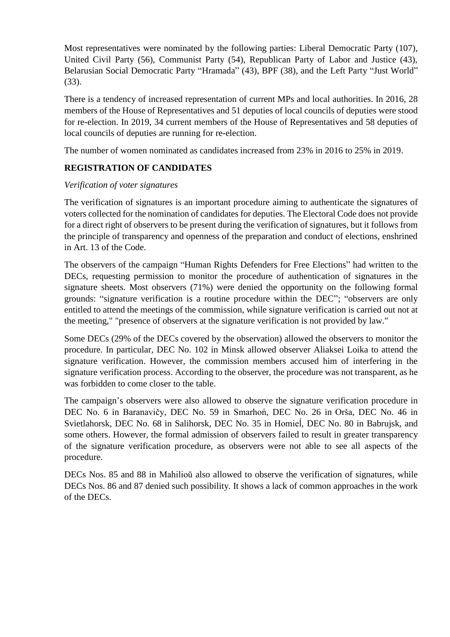Most representatives were nominated by the following parties: Liberal Democratic Party (107), United Civil Party (56), Communist Party (54), Republican Party of Labor and Justice (43), Belarusian Social Democratic Party "Hramada" (43), BPF (38), and the Left Party "Just World" (33).

There is a tendency of increased representation of current MPs and local authorities. In 2016, 28 members of the House of Representatives and 51 deputies of local councils of deputies were stood for re-election. In 2019, 34 current members of the House of Representatives and 58 deputies of local councils of deputies are running for re-election.

The number of women nominated as candidates increased from 23% in 2016 to 25% in 2019.

## **REGISTRATION OF CANDIDATES**

#### *Verification of voter signatures*

The verification of signatures is an important procedure aiming to authenticate the signatures of voters collected for the nomination of candidates for deputies. The Electoral Code does not provide for a direct right of observers to be present during the verification of signatures, but it follows from the principle of transparency and openness of the preparation and conduct of elections, enshrined in Art. 13 of the Code.

The observers of the campaign "Human Rights Defenders for Free Elections" had written to the DECs, requesting permission to monitor the procedure of authentication of signatures in the signature sheets. Most observers (71%) were denied the opportunity on the following formal grounds: "signature verification is a routine procedure within the DEC"; "observers are only entitled to attend the meetings of the commission, while signature verification is carried out not at the meeting," "presence of observers at the signature verification is not provided by law."

Some DECs (29% of the DECs covered by the observation) allowed the observers to monitor the procedure. In particular, DEC No. 102 in Minsk allowed observer Aliaksei Loika to attend the signature verification. However, the commission members accused him of interfering in the signature verification process. According to the observer, the procedure was not transparent, as he was forbidden to come closer to the table.

The campaign's observers were also allowed to observe the signature verification procedure in DEC No. 6 in Baranavičy, DEC No. 59 in Smarhoń, DEC No. 26 in Orša, DEC No. 46 in Svietlahorsk, DEC No. 68 in Salihorsk, DEC No. 35 in Homieĺ, DEC No. 80 in Babrujsk, and some others. However, the formal admission of observers failed to result in greater transparency of the signature verification procedure, as observers were not able to see all aspects of the procedure.

DECs Nos. 85 and 88 in Mahilioŭ also allowed to observe the verification of signatures, while DECs Nos. 86 and 87 denied such possibility. It shows a lack of common approaches in the work of the DECs.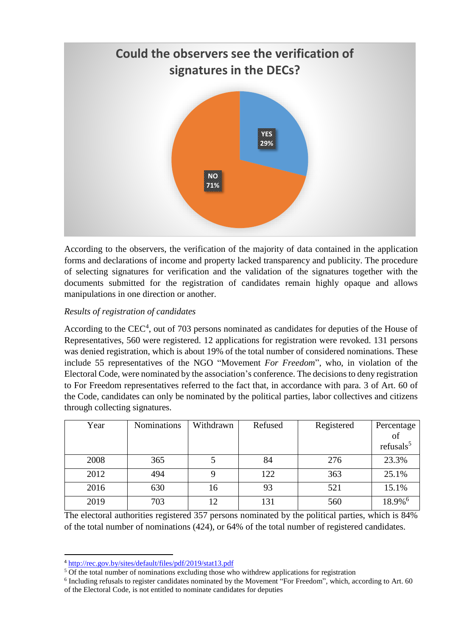

According to the observers, the verification of the majority of data contained in the application forms and declarations of income and property lacked transparency and publicity. The procedure of selecting signatures for verification and the validation of the signatures together with the documents submitted for the registration of candidates remain highly opaque and allows manipulations in one direction or another.

## *Results of registration of candidates*

According to the  $CEC<sup>4</sup>$ , out of 703 persons nominated as candidates for deputies of the House of Representatives, 560 were registered. 12 applications for registration were revoked. 131 persons was denied registration, which is about 19% of the total number of considered nominations. These include 55 representatives of the NGO "Movement *For Freedom*", who, in violation of the Electoral Code, were nominated by the association's conference. The decisions to deny registration to For Freedom representatives referred to the fact that, in accordance with para. 3 of Art. 60 of the Code, candidates can only be nominated by the political parties, labor collectives and citizens through collecting signatures.

| Year | <b>Nominations</b> | Withdrawn | Refused | Registered | Percentage<br>of      |
|------|--------------------|-----------|---------|------------|-----------------------|
|      |                    |           |         |            | refusals $5$          |
| 2008 | 365                |           | 84      | 276        | 23.3%                 |
| 2012 | 494                |           | 122     | 363        | 25.1%                 |
| 2016 | 630                | 16        | 93      | 521        | 15.1%                 |
| 2019 | 703                | 12        | 131     | 560        | $18.9\%$ <sup>6</sup> |

The electoral authorities registered 357 persons nominated by the political parties, which is 84% of the total number of nominations (424), or 64% of the total number of registered candidates.

 $\overline{a}$ 

<sup>4</sup> <http://rec.gov.by/sites/default/files/pdf/2019/stat13.pdf>

<sup>&</sup>lt;sup>5</sup> Of the total number of nominations excluding those who withdrew applications for registration

<sup>&</sup>lt;sup>6</sup> Including refusals to register candidates nominated by the Movement "For Freedom", which, according to Art. 60 of the Electoral Code, is not entitled to nominate candidates for deputies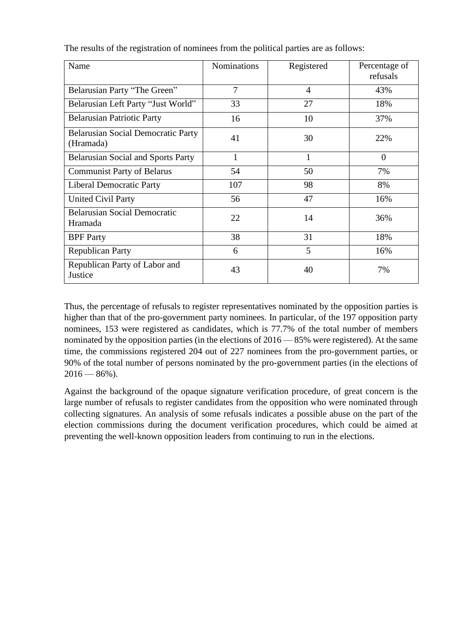| Name                                                   | <b>Nominations</b> | Registered     | Percentage of<br>refusals |
|--------------------------------------------------------|--------------------|----------------|---------------------------|
| Belarusian Party "The Green"                           | $\overline{7}$     | $\overline{4}$ | 43%                       |
| Belarusian Left Party "Just World"                     | 33                 | 27             | 18%                       |
| <b>Belarusian Patriotic Party</b>                      | 16                 | 10             | 37%                       |
| <b>Belarusian Social Democratic Party</b><br>(Hramada) | 41                 | 30             | 22%                       |
| <b>Belarusian Social and Sports Party</b>              | 1                  | 1              | $\Omega$                  |
| <b>Communist Party of Belarus</b>                      | 54                 | 50             | 7%                        |
| <b>Liberal Democratic Party</b>                        | 107                | 98             | 8%                        |
| <b>United Civil Party</b>                              | 56                 | 47             | 16%                       |
| <b>Belarusian Social Democratic</b><br>Hramada         | 22                 | 14             | 36%                       |
| <b>BPF</b> Party                                       | 38                 | 31             | 18%                       |
| <b>Republican Party</b>                                | 6                  | 5              | 16%                       |
| Republican Party of Labor and<br>Justice               | 43                 | 40             | 7%                        |

The results of the registration of nominees from the political parties are as follows:

Thus, the percentage of refusals to register representatives nominated by the opposition parties is higher than that of the pro-government party nominees. In particular, of the 197 opposition party nominees, 153 were registered as candidates, which is 77.7% of the total number of members nominated by the opposition parties (in the elections of 2016 — 85% were registered). At the same time, the commissions registered 204 out of 227 nominees from the pro-government parties, or 90% of the total number of persons nominated by the pro-government parties (in the elections of  $2016 - 86\%$ ).

Against the background of the opaque signature verification procedure, of great concern is the large number of refusals to register candidates from the opposition who were nominated through collecting signatures. An analysis of some refusals indicates a possible abuse on the part of the election commissions during the document verification procedures, which could be aimed at preventing the well-known opposition leaders from continuing to run in the elections.